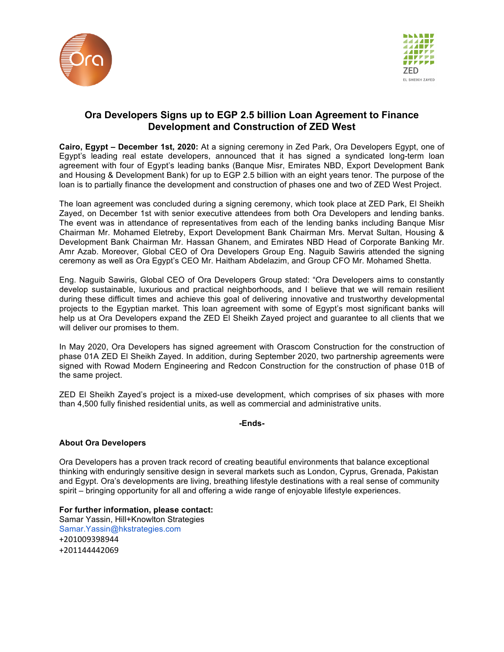



## **Ora Developers Signs up to EGP 2.5 billion Loan Agreement to Finance Development and Construction of ZED West**

**Cairo, Egypt – December 1st, 2020:** At a signing ceremony in Zed Park, Ora Developers Egypt, one of Egypt's leading real estate developers, announced that it has signed a syndicated long-term loan agreement with four of Egypt's leading banks (Banque Misr, Emirates NBD, Export Development Bank and Housing & Development Bank) for up to EGP 2.5 billion with an eight years tenor. The purpose of the loan is to partially finance the development and construction of phases one and two of ZED West Project.

The loan agreement was concluded during a signing ceremony, which took place at ZED Park, El Sheikh Zayed, on December 1st with senior executive attendees from both Ora Developers and lending banks. The event was in attendance of representatives from each of the lending banks including Banque Misr Chairman Mr. Mohamed Eletreby, Export Development Bank Chairman Mrs. Mervat Sultan, Housing & Development Bank Chairman Mr. Hassan Ghanem, and Emirates NBD Head of Corporate Banking Mr. Amr Azab. Moreover, Global CEO of Ora Developers Group Eng. Naguib Sawiris attended the signing ceremony as well as Ora Egypt's CEO Mr. Haitham Abdelazim, and Group CFO Mr. Mohamed Shetta.

Eng. Naguib Sawiris, Global CEO of Ora Developers Group stated: "Ora Developers aims to constantly develop sustainable, luxurious and practical neighborhoods, and I believe that we will remain resilient during these difficult times and achieve this goal of delivering innovative and trustworthy developmental projects to the Egyptian market. This loan agreement with some of Egypt's most significant banks will help us at Ora Developers expand the ZED El Sheikh Zayed project and guarantee to all clients that we will deliver our promises to them.

In May 2020, Ora Developers has signed agreement with Orascom Construction for the construction of phase 01A ZED El Sheikh Zayed. In addition, during September 2020, two partnership agreements were signed with Rowad Modern Engineering and Redcon Construction for the construction of phase 01B of the same project.

ZED El Sheikh Zayed's project is a mixed-use development, which comprises of six phases with more than 4,500 fully finished residential units, as well as commercial and administrative units.

**-Ends-**

## **About Ora Developers**

Ora Developers has a proven track record of creating beautiful environments that balance exceptional thinking with enduringly sensitive design in several markets such as London, Cyprus, Grenada, Pakistan and Egypt. Ora's developments are living, breathing lifestyle destinations with a real sense of community spirit – bringing opportunity for all and offering a wide range of enjoyable lifestyle experiences.

## **For further information, please contact:**

Samar Yassin, Hill+Knowlton Strategies Samar.Yassin@hkstrategies.com +201009398944 +201144442069